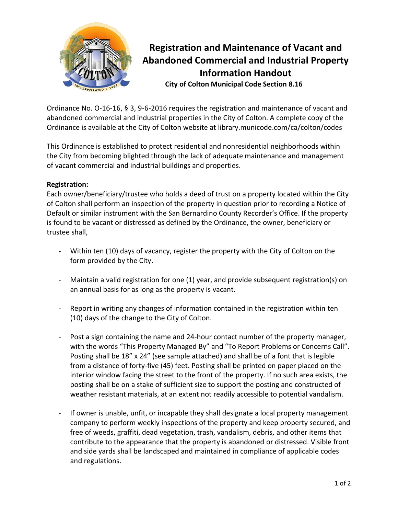

## **Registration and Maintenance of Vacant and Abandoned Commercial and Industrial Property Information Handout City of Colton Municipal Code Section 8.16**

Ordinance No. O-16-16, § 3, 9-6-2016 requires the registration and maintenance of vacant and abandoned commercial and industrial properties in the City of Colton. A complete copy of the Ordinance is available at the City of Colton website at library.municode.com/ca/colton/codes

This Ordinance is established to protect residential and nonresidential neighborhoods within the City from becoming blighted through the lack of adequate maintenance and management of vacant commercial and industrial buildings and properties.

## **Registration:**

Each owner/beneficiary/trustee who holds a deed of trust on a property located within the City of Colton shall perform an inspection of the property in question prior to recording a Notice of Default or similar instrument with the San Bernardino County Recorder's Office. If the property is found to be vacant or distressed as defined by the Ordinance, the owner, beneficiary or trustee shall,

- Within ten (10) days of vacancy, register the property with the City of Colton on the form provided by the City.
- Maintain a valid registration for one (1) year, and provide subsequent registration(s) on an annual basis for as long as the property is vacant.
- Report in writing any changes of information contained in the registration within ten (10) days of the change to the City of Colton.
- Post a sign containing the name and 24-hour contact number of the property manager, with the words "This Property Managed By" and "To Report Problems or Concerns Call". Posting shall be 18" x 24" (see sample attached) and shall be of a font that is legible from a distance of forty-five (45) feet. Posting shall be printed on paper placed on the interior window facing the street to the front of the property. If no such area exists, the posting shall be on a stake of sufficient size to support the posting and constructed of weather resistant materials, at an extent not readily accessible to potential vandalism.
- If owner is unable, unfit, or incapable they shall designate a local property management company to perform weekly inspections of the property and keep property secured, and free of weeds, graffiti, dead vegetation, trash, vandalism, debris, and other items that contribute to the appearance that the property is abandoned or distressed. Visible front and side yards shall be landscaped and maintained in compliance of applicable codes and regulations.